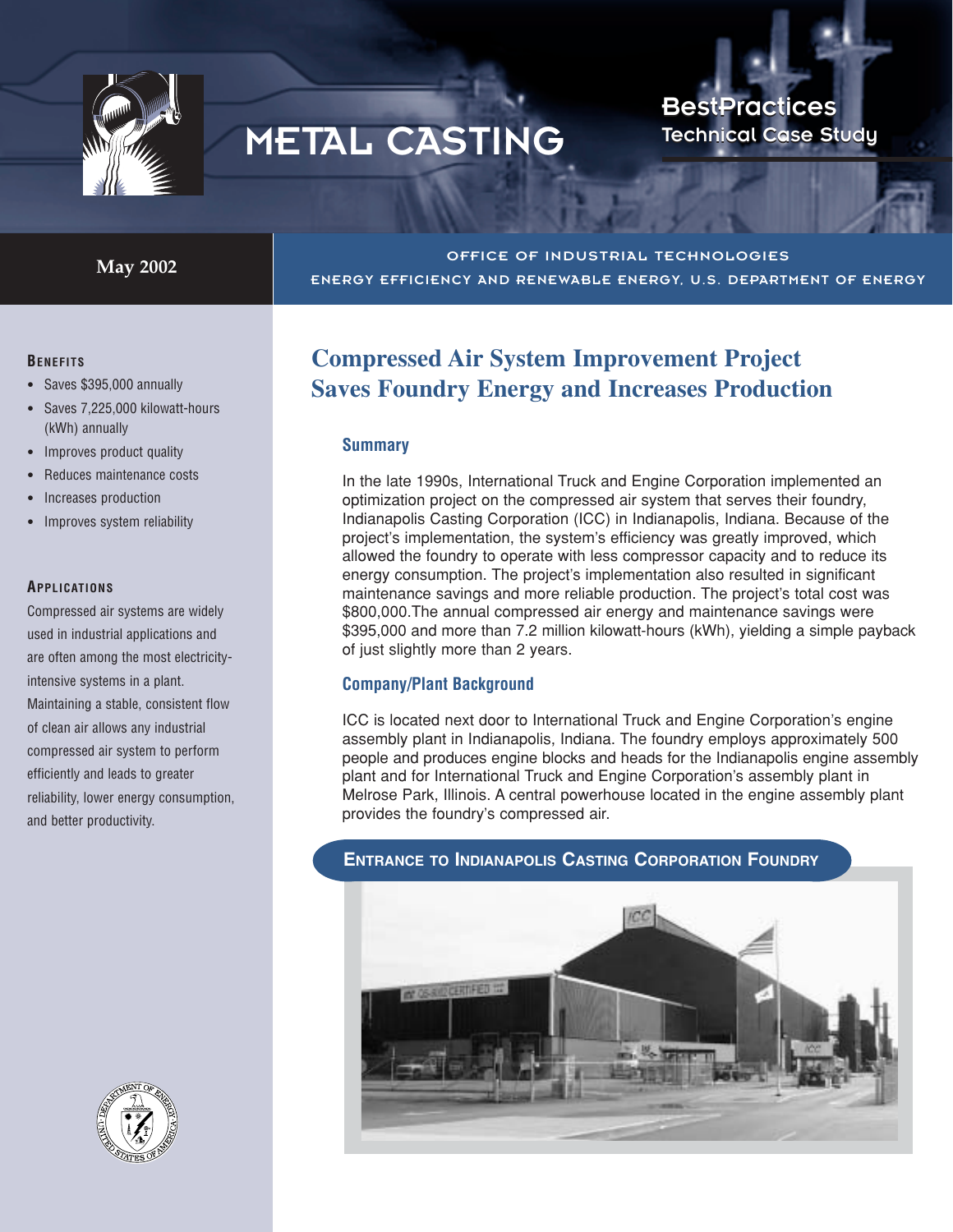

# METAL CASTING

**BestPractices Technical Case Study** 

**May 2002** OFFICE OF INDUSTRIAL TECHNOLOGIES

#### **BENEFITS**

- Saves \$395,000 annually
- Saves 7,225,000 kilowatt-hours (kWh) annually
- Improves product quality
- Reduces maintenance costs
- Increases production
- Improves system reliability

#### **APPLICATIONS**

Compressed air systems are widely used in industrial applications and are often among the most electricityintensive systems in a plant. Maintaining a stable, consistent flow of clean air allows any industrial compressed air system to perform efficiently and leads to greater reliability, lower energy consumption, and better productivity.



ENERGY EFFICIENCY AND RENEWABLE ENERGY, U.S. DEPARTMENT OF ENERGY

#### **Summary**

In the late 1990s, International Truck and Engine Corporation implemented an optimization project on the compressed air system that serves their foundry, Indianapolis Casting Corporation (ICC) in Indianapolis, Indiana. Because of the project's implementation, the system's efficiency was greatly improved, which allowed the foundry to operate with less compressor capacity and to reduce its energy consumption. The project's implementation also resulted in significant maintenance savings and more reliable production. The project's total cost was \$800,000.The annual compressed air energy and maintenance savings were \$395,000 and more than 7.2 million kilowatt-hours (kWh), yielding a simple payback of just slightly more than 2 years.

#### **Company/Plant Background**

ICC is located next door to International Truck and Engine Corporation's engine assembly plant in Indianapolis, Indiana. The foundry employs approximately 500 people and produces engine blocks and heads for the Indianapolis engine assembly plant and for International Truck and Engine Corporation's assembly plant in Melrose Park, Illinois. A central powerhouse located in the engine assembly plant provides the foundry's compressed air.



#### **ENTRANCE TO INDIANAPOLIS CASTING CORPORATION FOUNDRY**

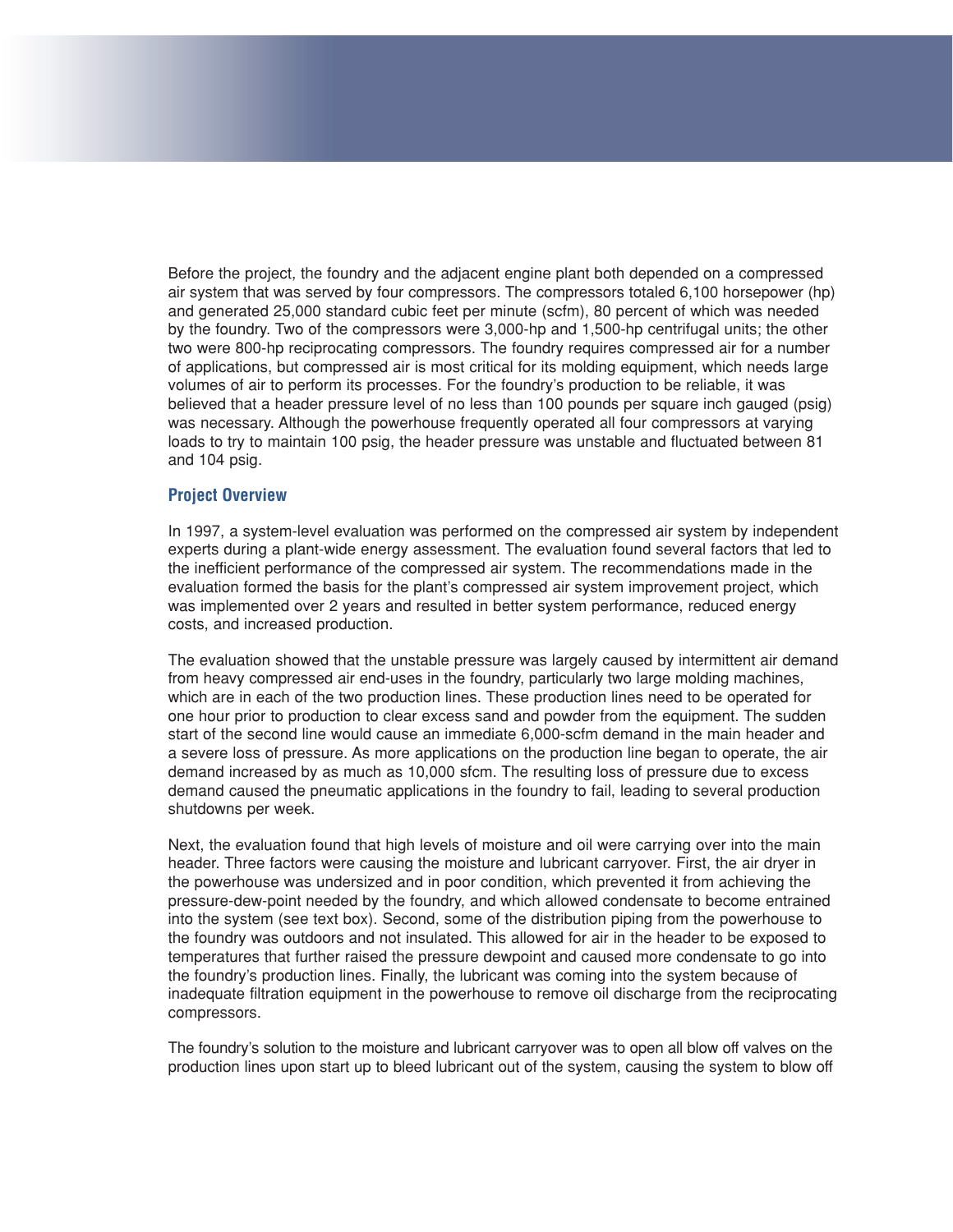Before the project, the foundry and the adjacent engine plant both depended on a compressed air system that was served by four compressors. The compressors totaled 6,100 horsepower (hp) and generated 25,000 standard cubic feet per minute (scfm), 80 percent of which was needed by the foundry. Two of the compressors were 3,000-hp and 1,500-hp centrifugal units; the other two were 800-hp reciprocating compressors. The foundry requires compressed air for a number of applications, but compressed air is most critical for its molding equipment, which needs large volumes of air to perform its processes. For the foundry's production to be reliable, it was believed that a header pressure level of no less than 100 pounds per square inch gauged (psig) was necessary. Although the powerhouse frequently operated all four compressors at varying loads to try to maintain 100 psig, the header pressure was unstable and fluctuated between 81 and 104 psig.

#### **Project Overview**

In 1997, a system-level evaluation was performed on the compressed air system by independent experts during a plant-wide energy assessment. The evaluation found several factors that led to the inefficient performance of the compressed air system. The recommendations made in the evaluation formed the basis for the plant's compressed air system improvement project, which was implemented over 2 years and resulted in better system performance, reduced energy costs, and increased production.

The evaluation showed that the unstable pressure was largely caused by intermittent air demand from heavy compressed air end-uses in the foundry, particularly two large molding machines, which are in each of the two production lines. These production lines need to be operated for one hour prior to production to clear excess sand and powder from the equipment. The sudden start of the second line would cause an immediate 6,000-scfm demand in the main header and a severe loss of pressure. As more applications on the production line began to operate, the air demand increased by as much as 10,000 sfcm. The resulting loss of pressure due to excess demand caused the pneumatic applications in the foundry to fail, leading to several production shutdowns per week.

Next, the evaluation found that high levels of moisture and oil were carrying over into the main header. Three factors were causing the moisture and lubricant carryover. First, the air dryer in the powerhouse was undersized and in poor condition, which prevented it from achieving the pressure-dew-point needed by the foundry, and which allowed condensate to become entrained into the system (see text box). Second, some of the distribution piping from the powerhouse to the foundry was outdoors and not insulated. This allowed for air in the header to be exposed to temperatures that further raised the pressure dewpoint and caused more condensate to go into the foundry's production lines. Finally, the lubricant was coming into the system because of inadequate filtration equipment in the powerhouse to remove oil discharge from the reciprocating compressors.

The foundry's solution to the moisture and lubricant carryover was to open all blow off valves on the production lines upon start up to bleed lubricant out of the system, causing the system to blow off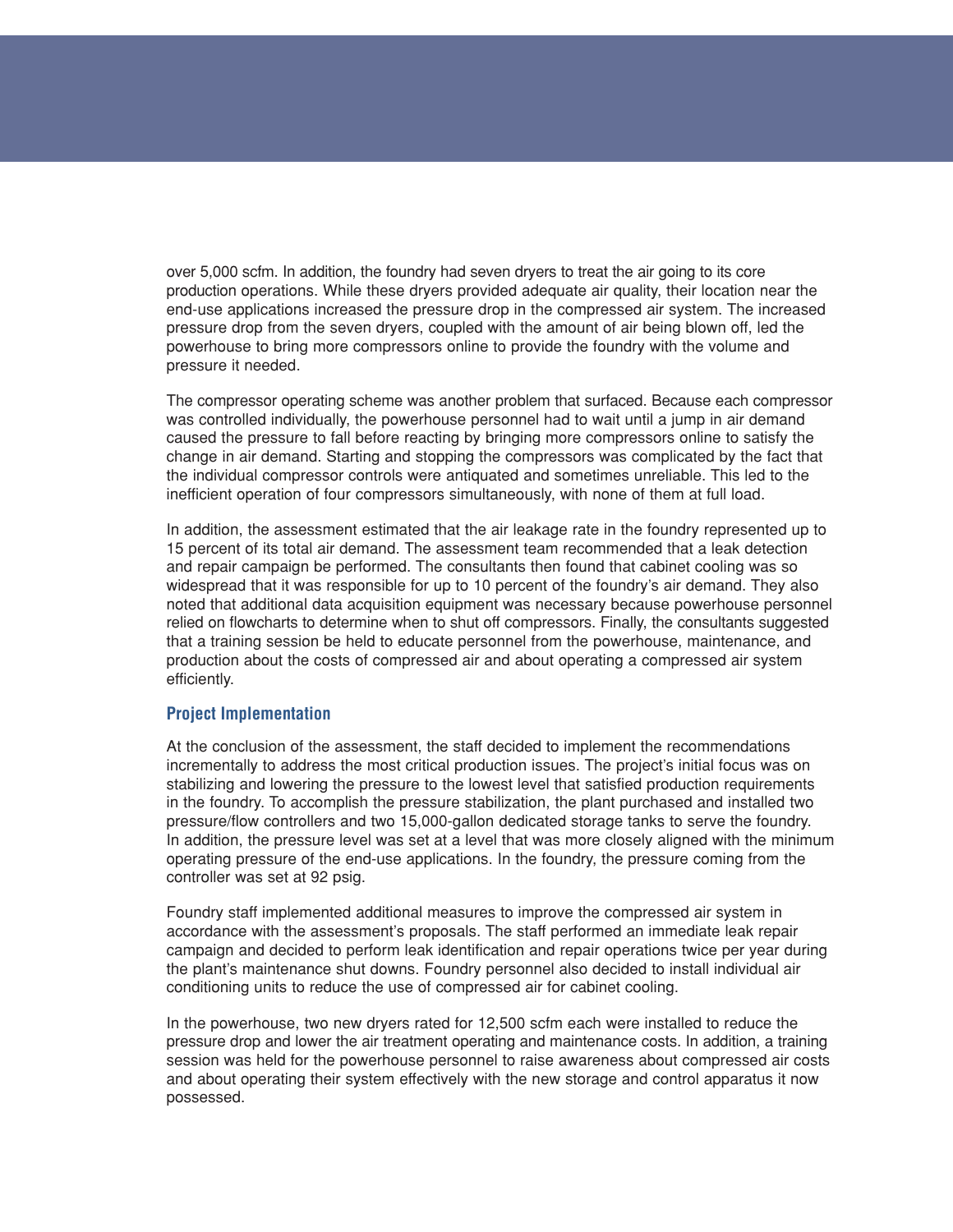over 5,000 scfm. In addition, the foundry had seven dryers to treat the air going to its core production operations. While these dryers provided adequate air quality, their location near the end-use applications increased the pressure drop in the compressed air system. The increased pressure drop from the seven dryers, coupled with the amount of air being blown off, led the powerhouse to bring more compressors online to provide the foundry with the volume and pressure it needed.

The compressor operating scheme was another problem that surfaced. Because each compressor was controlled individually, the powerhouse personnel had to wait until a jump in air demand caused the pressure to fall before reacting by bringing more compressors online to satisfy the change in air demand. Starting and stopping the compressors was complicated by the fact that the individual compressor controls were antiquated and sometimes unreliable. This led to the inefficient operation of four compressors simultaneously, with none of them at full load.

In addition, the assessment estimated that the air leakage rate in the foundry represented up to 15 percent of its total air demand. The assessment team recommended that a leak detection and repair campaign be performed. The consultants then found that cabinet cooling was so widespread that it was responsible for up to 10 percent of the foundry's air demand. They also noted that additional data acquisition equipment was necessary because powerhouse personnel relied on flowcharts to determine when to shut off compressors. Finally, the consultants suggested that a training session be held to educate personnel from the powerhouse, maintenance, and production about the costs of compressed air and about operating a compressed air system efficiently.

#### **Project Implementation**

At the conclusion of the assessment, the staff decided to implement the recommendations incrementally to address the most critical production issues. The project's initial focus was on stabilizing and lowering the pressure to the lowest level that satisfied production requirements in the foundry. To accomplish the pressure stabilization, the plant purchased and installed two pressure/flow controllers and two 15,000-gallon dedicated storage tanks to serve the foundry. In addition, the pressure level was set at a level that was more closely aligned with the minimum operating pressure of the end-use applications. In the foundry, the pressure coming from the controller was set at 92 psig.

Foundry staff implemented additional measures to improve the compressed air system in accordance with the assessment's proposals. The staff performed an immediate leak repair campaign and decided to perform leak identification and repair operations twice per year during the plant's maintenance shut downs. Foundry personnel also decided to install individual air conditioning units to reduce the use of compressed air for cabinet cooling.

In the powerhouse, two new dryers rated for 12,500 scfm each were installed to reduce the pressure drop and lower the air treatment operating and maintenance costs. In addition, a training session was held for the powerhouse personnel to raise awareness about compressed air costs and about operating their system effectively with the new storage and control apparatus it now possessed.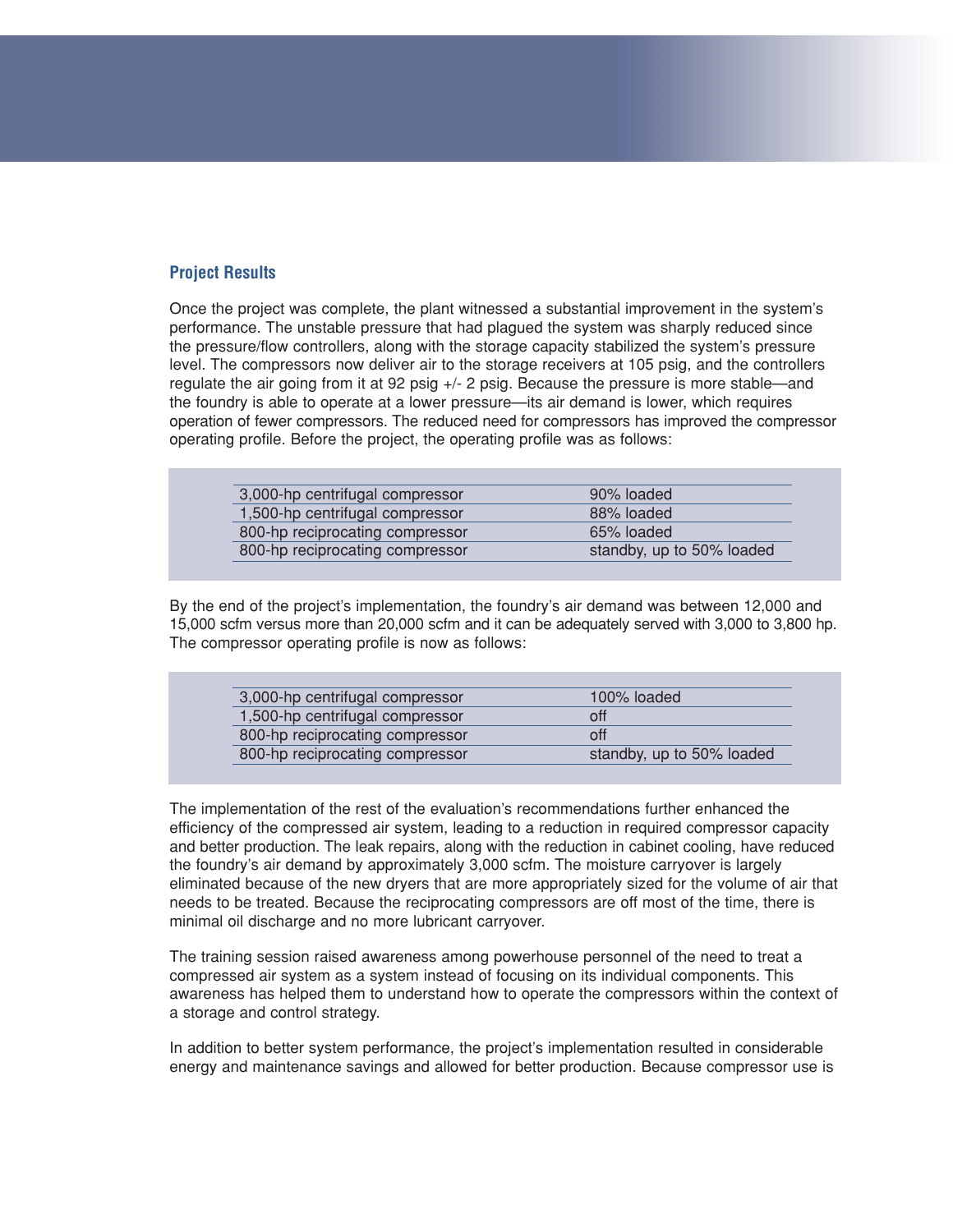#### **Project Results**

Once the project was complete, the plant witnessed a substantial improvement in the system's performance. The unstable pressure that had plagued the system was sharply reduced since the pressure/flow controllers, along with the storage capacity stabilized the system's pressure level. The compressors now deliver air to the storage receivers at 105 psig, and the controllers regulate the air going from it at 92 psig +/- 2 psig. Because the pressure is more stable—and the foundry is able to operate at a lower pressure—its air demand is lower, which requires operation of fewer compressors. The reduced need for compressors has improved the compressor operating profile. Before the project, the operating profile was as follows:

| 3,000-hp centrifugal compressor | 90% loaded                |
|---------------------------------|---------------------------|
| 1,500-hp centrifugal compressor | 88% loaded                |
| 800-hp reciprocating compressor | 65% loaded                |
| 800-hp reciprocating compressor | standby, up to 50% loaded |

By the end of the project's implementation, the foundry's air demand was between 12,000 and 15,000 scfm versus more than 20,000 scfm and it can be adequately served with 3,000 to 3,800 hp. The compressor operating profile is now as follows:

| 100% loaded               |
|---------------------------|
| off                       |
| off                       |
| standby, up to 50% loaded |
|                           |

The implementation of the rest of the evaluation's recommendations further enhanced the efficiency of the compressed air system, leading to a reduction in required compressor capacity and better production. The leak repairs, along with the reduction in cabinet cooling, have reduced the foundry's air demand by approximately 3,000 scfm. The moisture carryover is largely eliminated because of the new dryers that are more appropriately sized for the volume of air that needs to be treated. Because the reciprocating compressors are off most of the time, there is minimal oil discharge and no more lubricant carryover.

The training session raised awareness among powerhouse personnel of the need to treat a compressed air system as a system instead of focusing on its individual components. This awareness has helped them to understand how to operate the compressors within the context of a storage and control strategy.

In addition to better system performance, the project's implementation resulted in considerable energy and maintenance savings and allowed for better production. Because compressor use is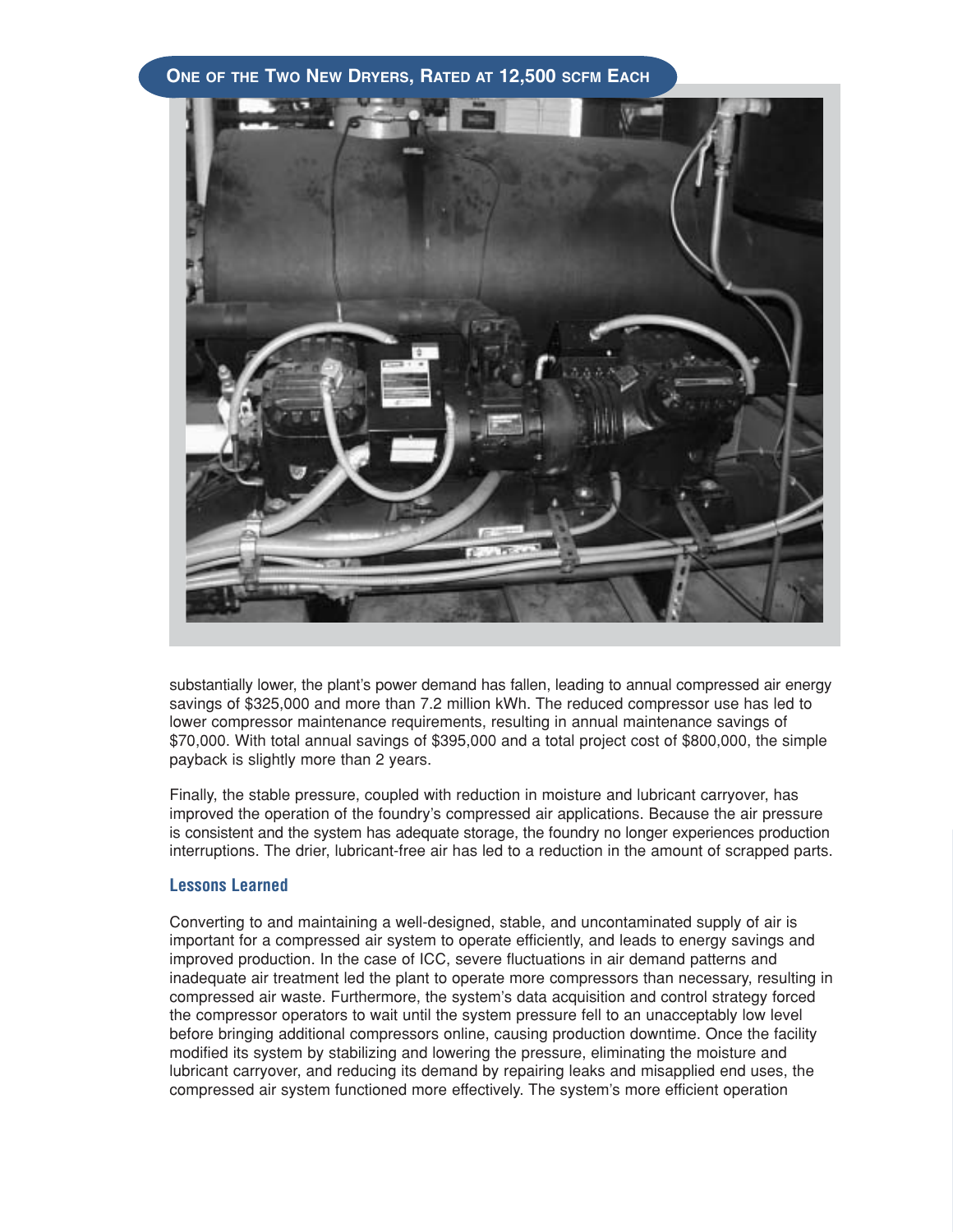#### **ONE OF THE TWO NEW DRYERS, RATED AT 12,500 SCFM EACH**



substantially lower, the plant's power demand has fallen, leading to annual compressed air energy savings of \$325,000 and more than 7.2 million kWh. The reduced compressor use has led to lower compressor maintenance requirements, resulting in annual maintenance savings of \$70,000. With total annual savings of \$395,000 and a total project cost of \$800,000, the simple payback is slightly more than 2 years.

Finally, the stable pressure, coupled with reduction in moisture and lubricant carryover, has improved the operation of the foundry's compressed air applications. Because the air pressure is consistent and the system has adequate storage, the foundry no longer experiences production interruptions. The drier, lubricant-free air has led to a reduction in the amount of scrapped parts.

#### **Lessons Learned**

Converting to and maintaining a well-designed, stable, and uncontaminated supply of air is important for a compressed air system to operate efficiently, and leads to energy savings and improved production. In the case of ICC, severe fluctuations in air demand patterns and inadequate air treatment led the plant to operate more compressors than necessary, resulting in compressed air waste. Furthermore, the system's data acquisition and control strategy forced the compressor operators to wait until the system pressure fell to an unacceptably low level before bringing additional compressors online, causing production downtime. Once the facility modified its system by stabilizing and lowering the pressure, eliminating the moisture and lubricant carryover, and reducing its demand by repairing leaks and misapplied end uses, the compressed air system functioned more effectively. The system's more efficient operation